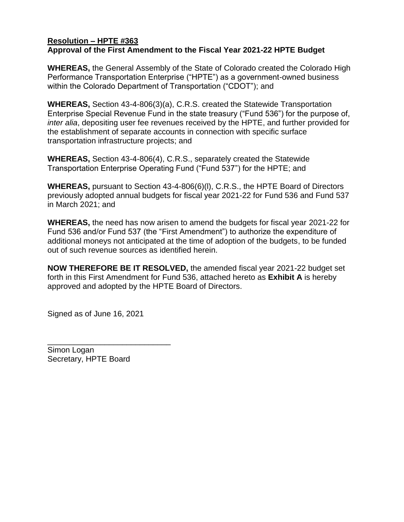## **Resolution – HPTE #363 Approval of the First Amendment to the Fiscal Year 2021-22 HPTE Budget**

**WHEREAS,** the General Assembly of the State of Colorado created the Colorado High Performance Transportation Enterprise ("HPTE") as a government-owned business within the Colorado Department of Transportation ("CDOT"); and

**WHEREAS,** Section 43-4-806(3)(a), C.R.S. created the Statewide Transportation Enterprise Special Revenue Fund in the state treasury ("Fund 536") for the purpose of, *inter alia*, depositing user fee revenues received by the HPTE, and further provided for the establishment of separate accounts in connection with specific surface transportation infrastructure projects; and

**WHEREAS,** Section 43-4-806(4), C.R.S., separately created the Statewide Transportation Enterprise Operating Fund ("Fund 537") for the HPTE; and

**WHEREAS,** pursuant to Section 43-4-806(6)(l), C.R.S., the HPTE Board of Directors previously adopted annual budgets for fiscal year 2021-22 for Fund 536 and Fund 537 in March 2021; and

**WHEREAS,** the need has now arisen to amend the budgets for fiscal year 2021-22 for Fund 536 and/or Fund 537 (the "First Amendment") to authorize the expenditure of additional moneys not anticipated at the time of adoption of the budgets, to be funded out of such revenue sources as identified herein.

**NOW THEREFORE BE IT RESOLVED,** the amended fiscal year 2021-22 budget set forth in this First Amendment for Fund 536, attached hereto as **Exhibit A** is hereby approved and adopted by the HPTE Board of Directors.

Signed as of June 16, 2021

\_\_\_\_\_\_\_\_\_\_\_\_\_\_\_\_\_\_\_\_\_\_\_\_\_\_\_\_

Simon Logan Secretary, HPTE Board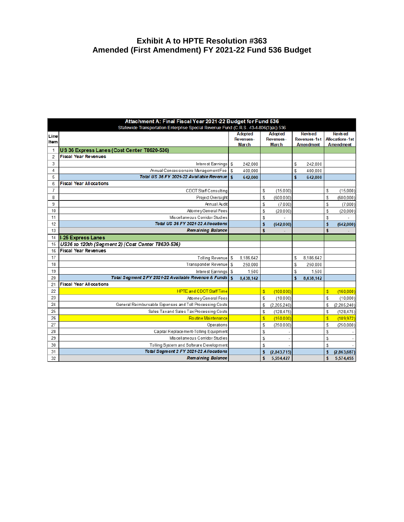## **Exhibit A to HPTE Resolution #363 Amended (First Amendment) FY 2021-22 Fund 536 Budget**

|                | Attachment A: Final Fiscal Year 2021-22 Budget for Fund 536                          |    |                                    |                             |             |                                |           |                                          |             |  |  |
|----------------|--------------------------------------------------------------------------------------|----|------------------------------------|-----------------------------|-------------|--------------------------------|-----------|------------------------------------------|-------------|--|--|
|                | Statewide Transportation Enterprise Special Revenue Fund (C.R.S. 43-4-806(3)(a)) 536 |    |                                    |                             |             |                                |           |                                          |             |  |  |
| Line           |                                                                                      |    | <b>Adopted</b><br><b>Revenues-</b> | Adopted<br><b>Revenues-</b> |             | <b>Revised</b><br>Revenues-1st |           | <b>Revised</b><br><b>Allocations-1st</b> |             |  |  |
| Item           |                                                                                      |    | <b>March</b>                       | <b>March</b>                |             | <b>Amendment</b>               |           | <b>Amendment</b>                         |             |  |  |
| 1              | US 36 Express Lanes (Cost Center T8620-536)                                          |    |                                    |                             |             |                                |           |                                          |             |  |  |
| $\overline{2}$ | <b>Fiscal Year Revenues</b>                                                          |    |                                    |                             |             |                                |           |                                          |             |  |  |
| 3              | Interest Earnings \$                                                                 |    | 242.000                            |                             |             | \$                             | 242.000   |                                          |             |  |  |
| 4              | Annual Concessionaire Management Fee                                                 | s  | 400,000                            |                             |             | \$                             | 400,000   |                                          |             |  |  |
| 5              | Total US 36 FY 2021-22 Available Revenue                                             | \$ | 642,000                            |                             |             | \$                             | 642,000   |                                          |             |  |  |
| 6              | <b>Fiscal Year Allocations</b>                                                       |    |                                    |                             |             |                                |           |                                          |             |  |  |
| $\overline{7}$ | CDOT Staff Consulting                                                                |    |                                    | S                           | (15,000)    |                                |           | S                                        | (15,000)    |  |  |
| 8              | Project Oversight                                                                    |    |                                    | S                           | (600.000)   |                                |           | S                                        | (600.000)   |  |  |
| 9              | Annual Audit                                                                         |    |                                    | \$                          | (7,000)     |                                |           | S                                        | (7,000)     |  |  |
| 10             | Attorney General Fees                                                                |    |                                    | S                           | (20, 000)   |                                |           | \$                                       | (20,000)    |  |  |
| 11             | Miscellaneous Corridor Studies                                                       |    |                                    | \$                          |             |                                |           | \$                                       |             |  |  |
| 12             | Total US 36 FY 2021-22 Allocations                                                   |    |                                    | \$                          | (642,000)   |                                |           | \$                                       | (642,000)   |  |  |
| 13             | <b>Remaining Balance</b>                                                             |    |                                    | \$                          |             |                                |           | \$                                       |             |  |  |
| 14             | <b>I-25 Express Lanes</b>                                                            |    |                                    |                             |             |                                |           |                                          |             |  |  |
| 15             | US36 to 120th (Segment 2) (Cost Center T8630-536)                                    |    |                                    |                             |             |                                |           |                                          |             |  |  |
| 16             | <b>Fiscal Year Revenues</b>                                                          |    |                                    |                             |             |                                |           |                                          |             |  |  |
| 17             | Tolling Revenue \$                                                                   |    | 8,186,642                          |                             |             | \$                             | 8,186,642 |                                          |             |  |  |
| 18             | Transponder Revenue \$                                                               |    | 250.000                            |                             |             | \$                             | 250.000   |                                          |             |  |  |
| 19             | Interest Earnings \$                                                                 |    | 1,500                              |                             |             | \$                             | 1,500     |                                          |             |  |  |
| 20             | Total Segment 2 FY 2021-22 Available Revenue & Funds   \$                            |    | 8,438,142                          |                             |             | \$                             | 8,438,142 |                                          |             |  |  |
| 21             | <b>Fiscal Year Allocations</b>                                                       |    |                                    |                             |             |                                |           |                                          |             |  |  |
| 22             | <b>HPTE and CDOT Staff Time</b>                                                      |    |                                    | $\overline{\mathbb{S}}$     | (100.000)   |                                |           | $\overline{\mathbb{S}}$                  | (160.000)   |  |  |
| 23             | Attorney General Fees                                                                |    |                                    | S                           | (10.000)    |                                |           | S                                        | (10.000)    |  |  |
| 24             | General Reimbursable Expenses and Toll Processing Costs                              |    |                                    | S                           | (2,205,240) |                                |           | S                                        | (2,205,240) |  |  |
| 25             | Sales Taxand Sales Tax Processing Costs                                              |    |                                    | S                           | (128, 475)  |                                |           | S                                        | (128, 475)  |  |  |
| 26             | Routine Maintenance                                                                  |    |                                    | $\overline{\mathbb{S}}$     | (150, 000)  |                                |           | $\overline{\mathbb{S}}$                  | (109, 972)  |  |  |
| 27             | Operations                                                                           |    |                                    | S                           | (250, 000)  |                                |           | \$                                       | (250, 000)  |  |  |
| 28             | Capital Replacement-Tolling Equipment                                                |    |                                    | \$                          |             |                                |           | S                                        |             |  |  |
| 29             | Miscellaneous Corridor Studies                                                       |    |                                    | S                           |             |                                |           | S                                        |             |  |  |
| 30             | Tolling System and Software Development                                              |    |                                    | S                           |             |                                |           | S                                        |             |  |  |
| 31             | Total Segment 2 FY 2021-22 Allocations                                               |    |                                    | \$                          | (2,843,715) |                                |           | \$                                       | (2,863,687) |  |  |
| 32             | <b>Remaining Balance</b>                                                             |    |                                    | \$                          | 5,594,427   |                                |           | \$                                       | 5,574,455   |  |  |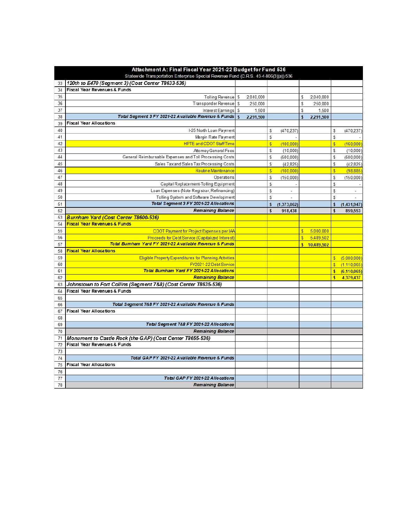| Attachment A: Final Fiscal Year 2021-22 Budget for Fund 536                          |                                                                 |   |           |                         |                          |                         |            |                         |             |
|--------------------------------------------------------------------------------------|-----------------------------------------------------------------|---|-----------|-------------------------|--------------------------|-------------------------|------------|-------------------------|-------------|
| Statewide Transportation Enterprise Special Revenue Fund (C.R.S. 43-4-806(3)(a)) 536 |                                                                 |   |           |                         |                          |                         |            |                         |             |
| 33                                                                                   | 120th to E470 (Segment 3) (Cost Center T8633-536)               |   |           |                         |                          |                         |            |                         |             |
| 34                                                                                   | Fiscal Year Revenues & Funds                                    |   |           |                         |                          |                         |            |                         |             |
| 35                                                                                   | Tolling Revenue \$                                              |   | 2,040,000 |                         |                          | \$                      | 2,040,000  |                         |             |
| 36                                                                                   | Transponder Revenue                                             | S | 250.000   |                         |                          | \$                      | 250.000    |                         |             |
| 37                                                                                   | Interest Earnings                                               | S | 1.500     |                         |                          | S                       | 1.500      |                         |             |
| 38                                                                                   | Total Segment 3 FY 2021-22 Available Revenue & Funds   \$       |   | 2,291,500 |                         |                          | \$                      | 2,291,500  |                         |             |
| 39                                                                                   | <b>Fiscal Year Allocations</b>                                  |   |           |                         |                          |                         |            |                         |             |
| 40                                                                                   | I-25 North Loan Payment                                         |   |           | \$                      | (470.237)                |                         |            | S                       | (470, 237)  |
| 41                                                                                   | Margin Rate Payment                                             |   |           | S                       |                          |                         |            | S                       |             |
| 42                                                                                   | <b>HPTE and CDOT Staff Time</b>                                 |   |           | $\overline{\mathbb{S}}$ | (100.000)                |                         |            | $\overline{\mathbb{S}}$ | (160.000)   |
| 43                                                                                   | Attorney General Fees                                           |   |           | S                       | (10.000)                 |                         |            | S                       | (10.000)    |
| 44                                                                                   | General Reimbursable Expenses and Toll Processing Costs         |   |           | \$                      | (500, 000)               |                         |            | S                       | (500, 000)  |
| 45                                                                                   | Sales Taxand Sales Tax Processing Costs                         |   |           | S                       | (42, 825)                |                         |            | S                       | (42, 825)   |
| 46                                                                                   | Routine Maintenance                                             |   |           | $\overline{\mathbb{S}}$ | (100, 000)               |                         |            | $\overline{\mathbb{S}}$ | (98, 885)   |
| 47                                                                                   | Operations                                                      |   |           | S                       | (150, 000)               |                         |            | S                       | (150,000)   |
| 48                                                                                   | Capital Replacement-Tolling Equipment                           |   |           | \$                      |                          |                         |            | \$                      |             |
| 49                                                                                   | Loan Expenses (Note Registrar, Refinancing)                     |   |           | S                       | $\sim$                   |                         |            | S                       | $\sim$      |
| 50                                                                                   | Tolling System and Software Development                         |   |           | S                       | $\overline{\phantom{a}}$ |                         |            | S                       | ÷           |
| 51                                                                                   | Total Segment 3 FY 2021-22 Allocations                          |   |           | \$                      | (1,373,062)              |                         |            | $\mathbf{s}$            | (1,431,947) |
| 52                                                                                   | <b>Remaining Balance</b>                                        |   |           | \$                      | 918,438                  |                         |            | \$                      | 859,553     |
| 53                                                                                   | Burnham Yard (Cost Center T8600-536)                            |   |           |                         |                          |                         |            |                         |             |
| 54                                                                                   | <b>Fiscal Year Revenues &amp; Funds</b>                         |   |           |                         |                          |                         |            |                         |             |
| 55                                                                                   | CDOT Payment for Project Expenses per IAA                       |   |           |                         |                          | \$.                     | 5,000,000  |                         |             |
| 56                                                                                   | Proceeds for Debt Service (Capitalized Interest                 |   |           |                         |                          | $\overline{\mathbb{S}}$ | 5,489,502  |                         |             |
| 57                                                                                   | Total Burnham Yard FY 2021-22 Available Revenue & Funds         |   |           |                         |                          | $\mathbf{s}$            | 10,489,502 |                         |             |
| 58                                                                                   | <b>Fiscal Year Allocations</b>                                  |   |           |                         |                          |                         |            |                         |             |
| 59                                                                                   | Eligible Property Expenditures for Planning Activities          |   |           |                         |                          |                         |            | $\mathbf{s}$            | (5,000,000) |
| 60                                                                                   | FY2021-22 Debt Service                                          |   |           |                         |                          |                         |            | S                       | (1,110,065) |
| 61                                                                                   | Total Bumham Yard FY 2021-22 Allocations                        |   |           |                         |                          |                         |            | $\mathbf{s}$            | (6,110,065) |
| 62                                                                                   | <b>Remaining Balance</b>                                        |   |           |                         |                          |                         |            | $\mathbf{s}$            | 4,379,437   |
| 63                                                                                   | Johnstown to Fort Collins (Segment 7&8) (Cost Center T8635-536) |   |           |                         |                          |                         |            |                         |             |
| 64                                                                                   | Fiscal Year Revenues & Funds                                    |   |           |                         |                          |                         |            |                         |             |
| 65                                                                                   |                                                                 |   |           |                         |                          |                         |            |                         |             |
| 66                                                                                   | Total Segment 7&8 FY 2021-22 Available Revenue & Funds          |   |           |                         |                          |                         |            |                         |             |
| 67                                                                                   | <b>Fiscal Year Allocations</b>                                  |   |           |                         |                          |                         |            |                         |             |
| 68                                                                                   |                                                                 |   |           |                         |                          |                         |            |                         |             |
| 69                                                                                   | Total Segment 7&8 FY 2021-22 Allocations                        |   |           |                         |                          |                         |            |                         |             |
| 70                                                                                   | <b>Remaining Balance</b>                                        |   |           |                         |                          |                         |            |                         |             |
| 71                                                                                   | Monument to Castle Rock (the GAP) (Cost Center T8655-536)       |   |           |                         |                          |                         |            |                         |             |
| 72                                                                                   | Fiscal Year Revenues & Funds                                    |   |           |                         |                          |                         |            |                         |             |
| 73                                                                                   |                                                                 |   |           |                         |                          |                         |            |                         |             |
| 74                                                                                   | Total GAP FY 2021-22 Available Revenue & Funds                  |   |           |                         |                          |                         |            |                         |             |
| 75                                                                                   | <b>Fiscal Year Allocations</b>                                  |   |           |                         |                          |                         |            |                         |             |
| 76                                                                                   |                                                                 |   |           |                         |                          |                         |            |                         |             |
| 77                                                                                   | Total GAP FY 2021-22 Allocations                                |   |           |                         |                          |                         |            |                         |             |
| 78                                                                                   | <b>Remaining Balance</b>                                        |   |           |                         |                          |                         |            |                         |             |